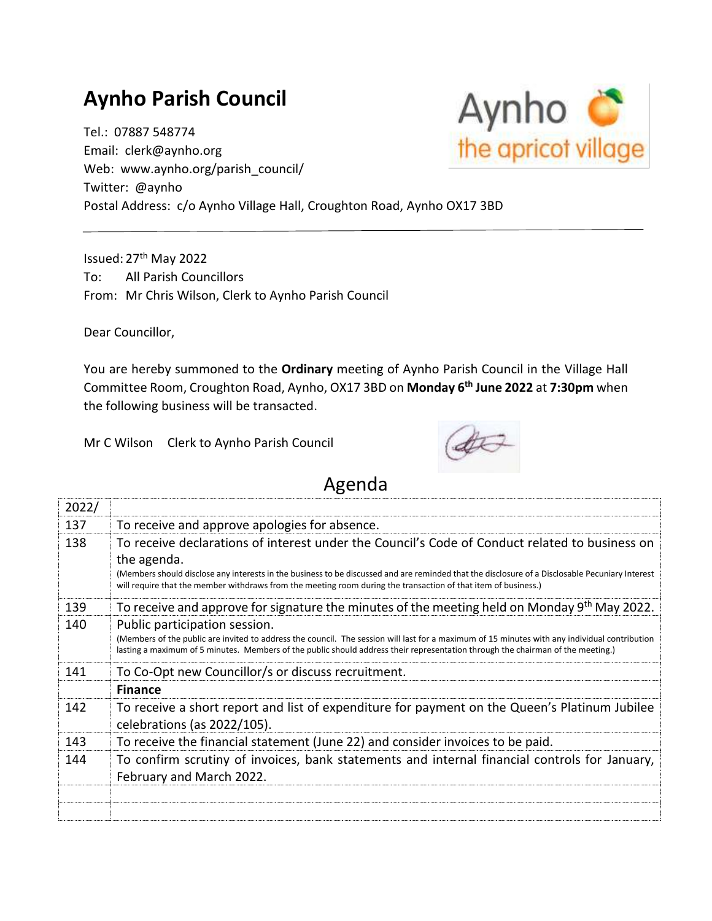## **Aynho Parish Council**

Tel.: 07887 548774 Email: clerk@aynho.org Web: www.aynho.org/parish\_council/ Twitter: @aynho Postal Address: c/o Aynho Village Hall, Croughton Road, Aynho OX17 3BD

Issued: 27<sup>th</sup> May 2022 To: All Parish Councillors From: Mr Chris Wilson, Clerk to Aynho Parish Council

Dear Councillor,

You are hereby summoned to the **Ordinary** meeting of Aynho Parish Council in the Village Hall Committee Room, Croughton Road, Aynho, OX17 3BD on **Monday 6 th June 2022** at **7:30pm** when the following business will be transacted.

Mr C Wilson Clerk to Aynho Parish Council



## Agenda

| 2022/ |                                                                                                                                                                                                                                                                                                                   |
|-------|-------------------------------------------------------------------------------------------------------------------------------------------------------------------------------------------------------------------------------------------------------------------------------------------------------------------|
| 137   | To receive and approve apologies for absence.                                                                                                                                                                                                                                                                     |
| 138   | To receive declarations of interest under the Council's Code of Conduct related to business on<br>the agenda.                                                                                                                                                                                                     |
|       | (Members should disclose any interests in the business to be discussed and are reminded that the disclosure of a Disclosable Pecuniary Interest<br>will require that the member withdraws from the meeting room during the transaction of that item of business.)                                                 |
| 139   | To receive and approve for signature the minutes of the meeting held on Monday 9th May 2022.                                                                                                                                                                                                                      |
| 140   | Public participation session.<br>(Members of the public are invited to address the council. The session will last for a maximum of 15 minutes with any individual contribution<br>lasting a maximum of 5 minutes. Members of the public should address their representation through the chairman of the meeting.) |
| 141   | To Co-Opt new Councillor/s or discuss recruitment.                                                                                                                                                                                                                                                                |
|       | <b>Finance</b>                                                                                                                                                                                                                                                                                                    |
| 142   | To receive a short report and list of expenditure for payment on the Queen's Platinum Jubilee<br>celebrations (as 2022/105).                                                                                                                                                                                      |
| 143   | To receive the financial statement (June 22) and consider invoices to be paid.                                                                                                                                                                                                                                    |
| 144   | To confirm scrutiny of invoices, bank statements and internal financial controls for January,<br>February and March 2022.                                                                                                                                                                                         |
|       |                                                                                                                                                                                                                                                                                                                   |

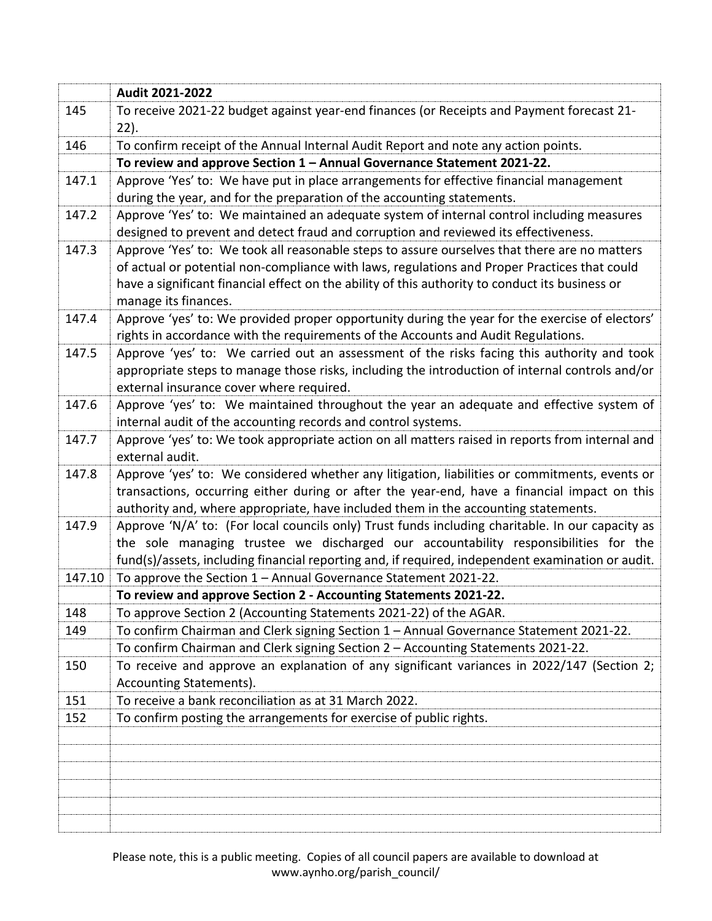|        | Audit 2021-2022                                                                                                                                                                                                                                                                                                         |
|--------|-------------------------------------------------------------------------------------------------------------------------------------------------------------------------------------------------------------------------------------------------------------------------------------------------------------------------|
| 145    | To receive 2021-22 budget against year-end finances (or Receipts and Payment forecast 21-<br>$22$ ).                                                                                                                                                                                                                    |
| 146    | To confirm receipt of the Annual Internal Audit Report and note any action points.                                                                                                                                                                                                                                      |
|        | To review and approve Section 1 - Annual Governance Statement 2021-22.                                                                                                                                                                                                                                                  |
| 147.1  | Approve 'Yes' to: We have put in place arrangements for effective financial management<br>during the year, and for the preparation of the accounting statements.                                                                                                                                                        |
| 147.2  | Approve 'Yes' to: We maintained an adequate system of internal control including measures<br>designed to prevent and detect fraud and corruption and reviewed its effectiveness.                                                                                                                                        |
| 147.3  | Approve 'Yes' to: We took all reasonable steps to assure ourselves that there are no matters<br>of actual or potential non-compliance with laws, regulations and Proper Practices that could<br>have a significant financial effect on the ability of this authority to conduct its business or<br>manage its finances. |
| 147.4  | Approve 'yes' to: We provided proper opportunity during the year for the exercise of electors'                                                                                                                                                                                                                          |
|        | rights in accordance with the requirements of the Accounts and Audit Regulations.                                                                                                                                                                                                                                       |
| 147.5  | Approve 'yes' to: We carried out an assessment of the risks facing this authority and took<br>appropriate steps to manage those risks, including the introduction of internal controls and/or<br>external insurance cover where required.                                                                               |
| 147.6  | Approve 'yes' to: We maintained throughout the year an adequate and effective system of<br>internal audit of the accounting records and control systems.                                                                                                                                                                |
| 147.7  | Approve 'yes' to: We took appropriate action on all matters raised in reports from internal and<br>external audit.                                                                                                                                                                                                      |
| 147.8  | Approve 'yes' to: We considered whether any litigation, liabilities or commitments, events or<br>transactions, occurring either during or after the year-end, have a financial impact on this<br>authority and, where appropriate, have included them in the accounting statements.                                     |
| 147.9  | Approve 'N/A' to: (For local councils only) Trust funds including charitable. In our capacity as<br>the sole managing trustee we discharged our accountability responsibilities for the<br>fund(s)/assets, including financial reporting and, if required, independent examination or audit.                            |
| 147.10 | To approve the Section 1 - Annual Governance Statement 2021-22.                                                                                                                                                                                                                                                         |
|        | To review and approve Section 2 - Accounting Statements 2021-22.                                                                                                                                                                                                                                                        |
| 148    | To approve Section 2 (Accounting Statements 2021-22) of the AGAR.                                                                                                                                                                                                                                                       |
| 149    | To confirm Chairman and Clerk signing Section 1 - Annual Governance Statement 2021-22.                                                                                                                                                                                                                                  |
|        | To confirm Chairman and Clerk signing Section 2 - Accounting Statements 2021-22.                                                                                                                                                                                                                                        |
| 150    | To receive and approve an explanation of any significant variances in 2022/147 (Section 2;<br>Accounting Statements).                                                                                                                                                                                                   |
| 151    | To receive a bank reconciliation as at 31 March 2022.                                                                                                                                                                                                                                                                   |
| 152    | To confirm posting the arrangements for exercise of public rights.                                                                                                                                                                                                                                                      |
|        |                                                                                                                                                                                                                                                                                                                         |

Please note, this is a public meeting. Copies of all council papers are available to download at www.aynho.org/parish\_council/